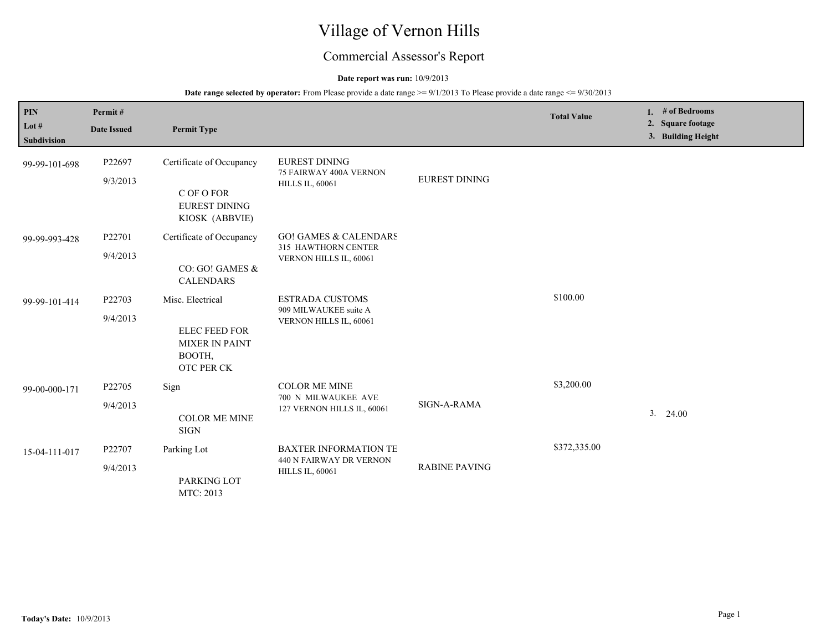# Village of Vernon Hills

## Commercial Assessor's Report

#### **Date report was run:** 10/9/2013

| PIN<br>Lot #<br><b>Subdivision</b> | Permit#<br><b>Date Issued</b> | <b>Permit Type</b>                                                                        |                                                                                   |                      | <b>Total Value</b> | # of Bedrooms<br>1.<br>2. Square footage<br>3. Building Height |
|------------------------------------|-------------------------------|-------------------------------------------------------------------------------------------|-----------------------------------------------------------------------------------|----------------------|--------------------|----------------------------------------------------------------|
| 99-99-101-698                      | P22697<br>9/3/2013            | Certificate of Occupancy<br>C OF O FOR<br><b>EUREST DINING</b><br>KIOSK (ABBVIE)          | <b>EUREST DINING</b><br>75 FAIRWAY 400A VERNON<br><b>HILLS IL, 60061</b>          | <b>EUREST DINING</b> |                    |                                                                |
| 99-99-993-428                      | P22701<br>9/4/2013            | Certificate of Occupancy<br>CO: GO! GAMES &<br><b>CALENDARS</b>                           | <b>GO! GAMES &amp; CALENDARS</b><br>315 HAWTHORN CENTER<br>VERNON HILLS IL, 60061 |                      |                    |                                                                |
| 99-99-101-414                      | P22703<br>9/4/2013            | Misc. Electrical<br><b>ELEC FEED FOR</b><br><b>MIXER IN PAINT</b><br>BOOTH,<br>OTC PER CK | <b>ESTRADA CUSTOMS</b><br>909 MILWAUKEE suite A<br>VERNON HILLS IL, 60061         |                      | \$100.00           |                                                                |
| 99-00-000-171                      | P22705<br>9/4/2013            | Sign<br><b>COLOR ME MINE</b><br><b>SIGN</b>                                               | <b>COLOR ME MINE</b><br>700 N MILWAUKEE AVE<br>127 VERNON HILLS IL, 60061         | SIGN-A-RAMA          | \$3,200.00         | $3. \quad 24.00$                                               |
| 15-04-111-017                      | P22707<br>9/4/2013            | Parking Lot<br>PARKING LOT<br>MTC: 2013                                                   | <b>BAXTER INFORMATION TE</b><br>440 N FAIRWAY DR VERNON<br><b>HILLS IL, 60061</b> | <b>RABINE PAVING</b> | \$372,335.00       |                                                                |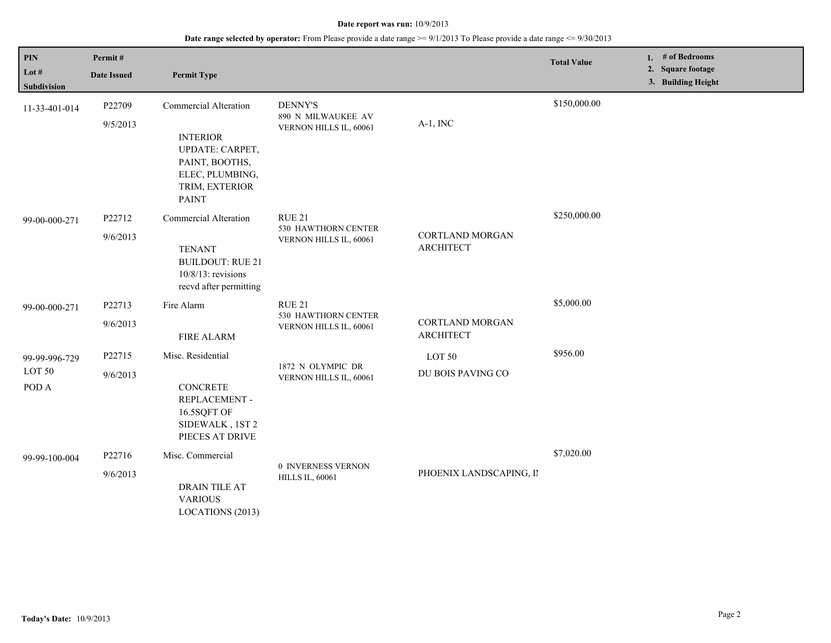| $\mathbf{PIN}$<br>Lot #<br><b>Subdivision</b> | Permit#<br><b>Date Issued</b> | <b>Permit Type</b>                                                                                                                        |                                                                |                                            | <b>Total Value</b> | 1. # of Bedrooms<br>2. Square footage<br>3. Building Height |
|-----------------------------------------------|-------------------------------|-------------------------------------------------------------------------------------------------------------------------------------------|----------------------------------------------------------------|--------------------------------------------|--------------------|-------------------------------------------------------------|
| 11-33-401-014                                 | P22709<br>9/5/2013            | <b>Commercial Alteration</b><br><b>INTERIOR</b><br>UPDATE: CARPET,<br>PAINT, BOOTHS,<br>ELEC, PLUMBING,<br>TRIM, EXTERIOR<br><b>PAINT</b> | <b>DENNY'S</b><br>890 N MILWAUKEE AV<br>VERNON HILLS IL, 60061 | $A-1$ , INC                                | \$150,000.00       |                                                             |
| 99-00-000-271                                 | P22712<br>9/6/2013            | <b>Commercial Alteration</b><br><b>TENANT</b><br><b>BUILDOUT: RUE 21</b><br>$10/8/13$ : revisions<br>recvd after permitting               | <b>RUE 21</b><br>530 HAWTHORN CENTER<br>VERNON HILLS IL, 60061 | <b>CORTLAND MORGAN</b><br><b>ARCHITECT</b> | \$250,000.00       |                                                             |
| 99-00-000-271                                 | P22713<br>9/6/2013            | Fire Alarm<br><b>FIRE ALARM</b>                                                                                                           | RUE 21<br>530 HAWTHORN CENTER<br>VERNON HILLS IL, 60061        | <b>CORTLAND MORGAN</b><br><b>ARCHITECT</b> | \$5,000.00         |                                                             |
| 99-99-996-729<br>LOT 50<br>POD A              | P22715<br>9/6/2013            | Misc. Residential<br><b>CONCRETE</b><br>REPLACEMENT -<br>16.5SQFT OF<br>SIDEWALK, 1ST 2<br>PIECES AT DRIVE                                | 1872 N OLYMPIC DR<br>VERNON HILLS IL, 60061                    | LOT 50<br>DU BOIS PAVING CO                | \$956.00           |                                                             |
| 99-99-100-004                                 | P22716<br>9/6/2013            | Misc. Commercial<br>DRAIN TILE AT<br><b>VARIOUS</b><br>LOCATIONS (2013)                                                                   | 0 INVERNESS VERNON<br><b>HILLS IL, 60061</b>                   | PHOENIX LANDSCAPING, II                    | \$7,020.00         |                                                             |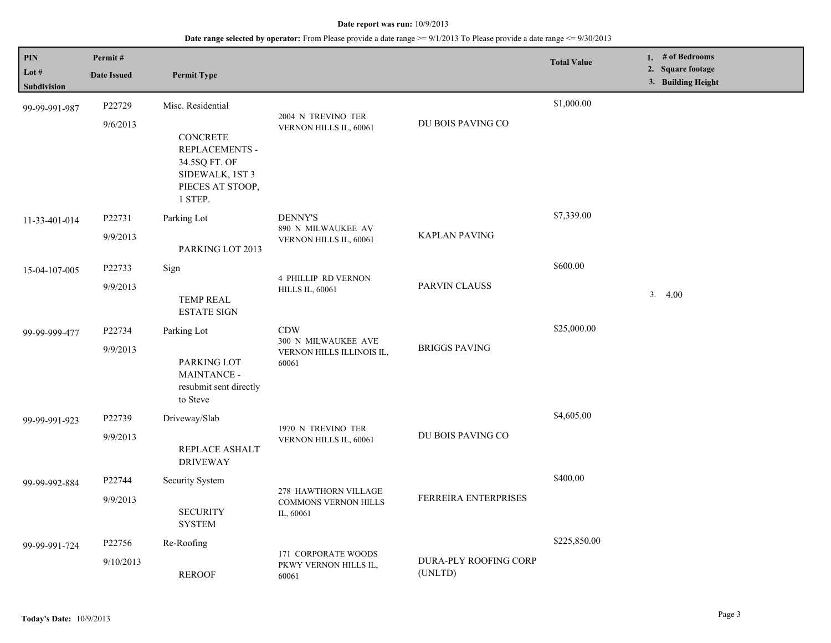| PIN                          | Permit#             |                                                                                                                |                                                                  |                                  | <b>Total Value</b> | 1. # of Bedrooms                        |
|------------------------------|---------------------|----------------------------------------------------------------------------------------------------------------|------------------------------------------------------------------|----------------------------------|--------------------|-----------------------------------------|
| Lot $#$                      | <b>Date Issued</b>  | <b>Permit Type</b>                                                                                             |                                                                  |                                  |                    | 2. Square footage<br>3. Building Height |
| Subdivision<br>99-99-991-987 | P22729<br>9/6/2013  | Misc. Residential<br><b>CONCRETE</b><br>REPLACEMENTS -<br>34.5SQ FT. OF<br>SIDEWALK, 1ST 3<br>PIECES AT STOOP, | 2004 N TREVINO TER<br>VERNON HILLS IL, 60061                     | DU BOIS PAVING CO                | \$1,000.00         |                                         |
| 11-33-401-014                | P22731<br>9/9/2013  | 1 STEP.<br>Parking Lot<br>PARKING LOT 2013                                                                     | <b>DENNY'S</b><br>890 N MILWAUKEE AV<br>VERNON HILLS IL, 60061   | <b>KAPLAN PAVING</b>             | \$7,339.00         |                                         |
| 15-04-107-005                | P22733<br>9/9/2013  | Sign<br><b>TEMP REAL</b><br><b>ESTATE SIGN</b>                                                                 | <b>4 PHILLIP RD VERNON</b><br><b>HILLS IL, 60061</b>             | <b>PARVIN CLAUSS</b>             | \$600.00           | 3.4.00                                  |
| 99-99-999-477                | P22734<br>9/9/2013  | Parking Lot<br>PARKING LOT<br>MAINTANCE -<br>resubmit sent directly<br>to Steve                                | CDW<br>300 N MILWAUKEE AVE<br>VERNON HILLS ILLINOIS IL,<br>60061 | <b>BRIGGS PAVING</b>             | \$25,000.00        |                                         |
| 99-99-991-923                | P22739<br>9/9/2013  | Driveway/Slab<br>REPLACE ASHALT<br><b>DRIVEWAY</b>                                                             | 1970 N TREVINO TER<br>VERNON HILLS IL, 60061                     | DU BOIS PAVING CO                | \$4,605.00         |                                         |
| 99-99-992-884                | P22744<br>9/9/2013  | Security System<br><b>SECURITY</b><br><b>SYSTEM</b>                                                            | 278 HAWTHORN VILLAGE<br><b>COMMONS VERNON HILLS</b><br>IL, 60061 | <b>FERREIRA ENTERPRISES</b>      | \$400.00           |                                         |
| 99-99-991-724                | P22756<br>9/10/2013 | Re-Roofing<br><b>REROOF</b>                                                                                    | 171 CORPORATE WOODS<br>PKWY VERNON HILLS IL,<br>60061            | DURA-PLY ROOFING CORP<br>(UNLTD) | \$225,850.00       |                                         |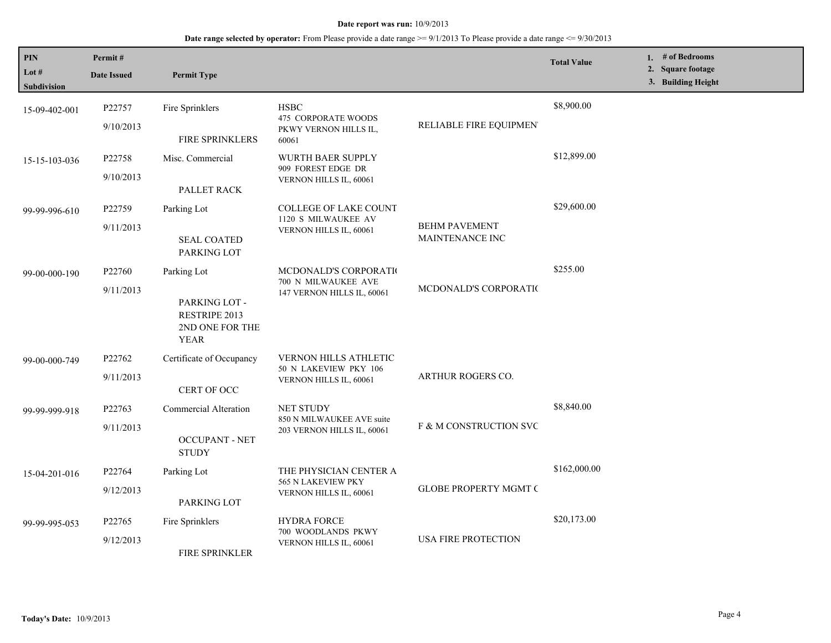| PIN<br>Lot $#$<br><b>Subdivision</b> | Permit#<br><b>Date Issued</b>   | <b>Permit Type</b>                                                                     |                                                                                 |                                         | <b>Total Value</b> | 1. # of Bedrooms<br>2. Square footage<br>3. Building Height |
|--------------------------------------|---------------------------------|----------------------------------------------------------------------------------------|---------------------------------------------------------------------------------|-----------------------------------------|--------------------|-------------------------------------------------------------|
| 15-09-402-001                        | P22757<br>9/10/2013             | Fire Sprinklers<br>FIRE SPRINKLERS                                                     | <b>HSBC</b><br>475 CORPORATE WOODS<br>PKWY VERNON HILLS IL,<br>60061            | RELIABLE FIRE EQUIPMEN'                 | \$8,900.00         |                                                             |
| 15-15-103-036                        | P22758<br>9/10/2013             | Misc. Commercial<br>PALLET RACK                                                        | WURTH BAER SUPPLY<br>909 FOREST EDGE DR<br>VERNON HILLS IL, 60061               |                                         | \$12,899.00        |                                                             |
| 99-99-996-610                        | P22759<br>9/11/2013             | Parking Lot<br><b>SEAL COATED</b><br>PARKING LOT                                       | COLLEGE OF LAKE COUNT<br>1120 S MILWAUKEE AV<br>VERNON HILLS IL, 60061          | <b>BEHM PAVEMENT</b><br>MAINTENANCE INC | \$29,600.00        |                                                             |
| 99-00-000-190                        | P22760<br>9/11/2013             | Parking Lot<br>PARKING LOT -<br><b>RESTRIPE 2013</b><br>2ND ONE FOR THE<br><b>YEAR</b> | MCDONALD'S CORPORATIO<br>700 N MILWAUKEE AVE<br>147 VERNON HILLS IL, 60061      | MCDONALD'S CORPORATIO                   | \$255.00           |                                                             |
| 99-00-000-749                        | P22762<br>9/11/2013             | Certificate of Occupancy<br>CERT OF OCC                                                | <b>VERNON HILLS ATHLETIC</b><br>50 N LAKEVIEW PKY 106<br>VERNON HILLS IL, 60061 | ARTHUR ROGERS CO.                       |                    |                                                             |
| 99-99-999-918                        | P <sub>22763</sub><br>9/11/2013 | Commercial Alteration<br><b>OCCUPANT - NET</b><br><b>STUDY</b>                         | <b>NET STUDY</b><br>850 N MILWAUKEE AVE suite<br>203 VERNON HILLS IL, 60061     | F & M CONSTRUCTION SVC                  | \$8,840.00         |                                                             |
| 15-04-201-016                        | P22764<br>9/12/2013             | Parking Lot<br>PARKING LOT                                                             | THE PHYSICIAN CENTER A<br>565 N LAKEVIEW PKY<br>VERNON HILLS IL, 60061          | <b>GLOBE PROPERTY MGMT C</b>            | \$162,000.00       |                                                             |
| 99-99-995-053                        | P22765<br>9/12/2013             | Fire Sprinklers<br>FIRE SPRINKLER                                                      | <b>HYDRA FORCE</b><br>700 WOODLANDS PKWY<br>VERNON HILLS IL, 60061              | <b>USA FIRE PROTECTION</b>              | \$20,173.00        |                                                             |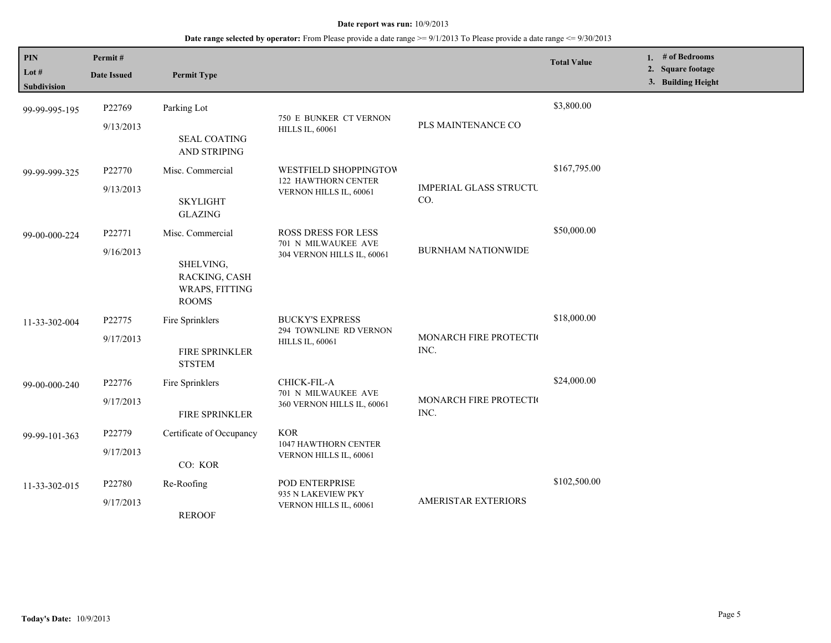| PIN<br>Lot $#$<br><b>Subdivision</b> | Permit#<br><b>Date Issued</b> | <b>Permit Type</b>                                                               |                                                                                 |                                      | <b>Total Value</b> | 1. # of Bedrooms<br>2. Square footage<br>3. Building Height |
|--------------------------------------|-------------------------------|----------------------------------------------------------------------------------|---------------------------------------------------------------------------------|--------------------------------------|--------------------|-------------------------------------------------------------|
| 99-99-995-195                        | P22769<br>9/13/2013           | Parking Lot<br><b>SEAL COATING</b><br>AND STRIPING                               | 750 E BUNKER CT VERNON<br><b>HILLS IL, 60061</b>                                | PLS MAINTENANCE CO                   | \$3,800.00         |                                                             |
| 99-99-999-325                        | P22770<br>9/13/2013           | Misc. Commercial<br><b>SKYLIGHT</b><br><b>GLAZING</b>                            | WESTFIELD SHOPPINGTOW<br>122 HAWTHORN CENTER<br>VERNON HILLS IL, 60061          | <b>IMPERIAL GLASS STRUCTU</b><br>CO. | \$167,795.00       |                                                             |
| 99-00-000-224                        | P22771<br>9/16/2013           | Misc. Commercial<br>SHELVING,<br>RACKING, CASH<br>WRAPS, FITTING<br><b>ROOMS</b> | <b>ROSS DRESS FOR LESS</b><br>701 N MILWAUKEE AVE<br>304 VERNON HILLS IL, 60061 | <b>BURNHAM NATIONWIDE</b>            | \$50,000.00        |                                                             |
| 11-33-302-004                        | P22775<br>9/17/2013           | Fire Sprinklers<br>FIRE SPRINKLER<br><b>STSTEM</b>                               | <b>BUCKY'S EXPRESS</b><br>294 TOWNLINE RD VERNON<br><b>HILLS IL, 60061</b>      | MONARCH FIRE PROTECTIO<br>INC.       | \$18,000.00        |                                                             |
| 99-00-000-240                        | P22776<br>9/17/2013           | Fire Sprinklers<br>FIRE SPRINKLER                                                | CHICK-FIL-A<br>701 N MILWAUKEE AVE<br>360 VERNON HILLS IL, 60061                | MONARCH FIRE PROTECTIO<br>INC.       | \$24,000.00        |                                                             |
| 99-99-101-363                        | P22779<br>9/17/2013           | Certificate of Occupancy<br>CO: KOR                                              | <b>KOR</b><br>1047 HAWTHORN CENTER<br>VERNON HILLS IL, 60061                    |                                      |                    |                                                             |
| 11-33-302-015                        | P22780<br>9/17/2013           | Re-Roofing<br><b>REROOF</b>                                                      | POD ENTERPRISE<br>935 N LAKEVIEW PKY<br>VERNON HILLS IL, 60061                  | <b>AMERISTAR EXTERIORS</b>           | \$102,500.00       |                                                             |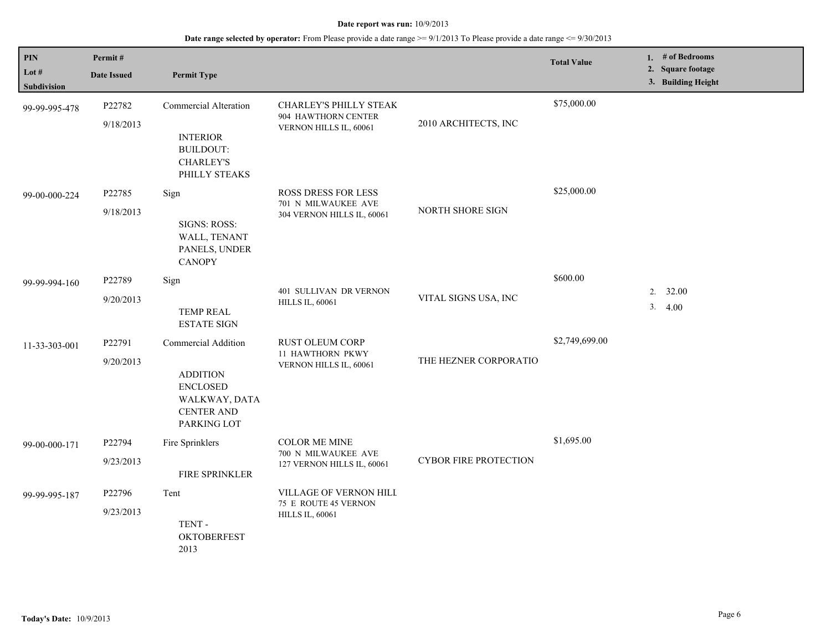| PIN<br>Lot $#$<br><b>Subdivision</b> | Permit#<br><b>Date Issued</b> | <b>Permit Type</b>                                                                                             |                                                                           |                              | <b>Total Value</b> | 1. # of Bedrooms<br>2. Square footage<br>3. Building Height |
|--------------------------------------|-------------------------------|----------------------------------------------------------------------------------------------------------------|---------------------------------------------------------------------------|------------------------------|--------------------|-------------------------------------------------------------|
| 99-99-995-478                        | P22782<br>9/18/2013           | <b>Commercial Alteration</b><br><b>INTERIOR</b><br><b>BUILDOUT:</b><br><b>CHARLEY'S</b><br>PHILLY STEAKS       | CHARLEY'S PHILLY STEAK<br>904 HAWTHORN CENTER<br>VERNON HILLS IL, 60061   | 2010 ARCHITECTS, INC         | \$75,000.00        |                                                             |
| 99-00-000-224                        | P22785<br>9/18/2013           | Sign<br>SIGNS: ROSS:<br>WALL, TENANT<br>PANELS, UNDER<br><b>CANOPY</b>                                         | ROSS DRESS FOR LESS<br>701 N MILWAUKEE AVE<br>304 VERNON HILLS IL, 60061  | NORTH SHORE SIGN             | \$25,000.00        |                                                             |
| 99-99-994-160                        | P22789<br>9/20/2013           | Sign<br><b>TEMP REAL</b><br><b>ESTATE SIGN</b>                                                                 | 401 SULLIVAN DR VERNON<br><b>HILLS IL, 60061</b>                          | VITAL SIGNS USA, INC         | \$600.00           | 2.<br>32.00<br>3.<br>4.00                                   |
| 11-33-303-001                        | P22791<br>9/20/2013           | Commercial Addition<br><b>ADDITION</b><br><b>ENCLOSED</b><br>WALKWAY, DATA<br><b>CENTER AND</b><br>PARKING LOT | RUST OLEUM CORP<br>11 HAWTHORN PKWY<br>VERNON HILLS IL, 60061             | THE HEZNER CORPORATIO        | \$2,749,699.00     |                                                             |
| 99-00-000-171                        | P22794<br>9/23/2013           | Fire Sprinklers<br>FIRE SPRINKLER                                                                              | <b>COLOR ME MINE</b><br>700 N MILWAUKEE AVE<br>127 VERNON HILLS IL, 60061 | <b>CYBOR FIRE PROTECTION</b> | \$1,695.00         |                                                             |
| 99-99-995-187                        | P22796<br>9/23/2013           | Tent<br>TENT-<br><b>OKTOBERFEST</b><br>2013                                                                    | VILLAGE OF VERNON HILL<br>75 E ROUTE 45 VERNON<br><b>HILLS IL, 60061</b>  |                              |                    |                                                             |